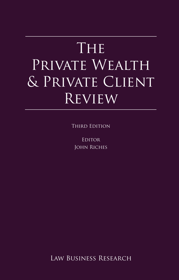# The Private Wealth Contract Contract on the Private View PRIVATE WEALTH & Private Client **REVIEW**

**Reproduced With permission from Law Business Research Law Business Research Law Business Research Ltd.** 

Editor (published in September 2014 – editor John Riches). John Riches

Law Business Research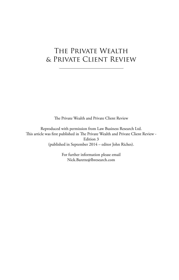## The Private Wealth & Private Client Review

The Private Wealth and Private Client Review

Reproduced with permission from Law Business Research Ltd. This article was first published in The Private Wealth and Private Client Review - Edition 3 (published in September 2014 – editor John Riches).

> For further information please email Nick.Barette@lbresearch.com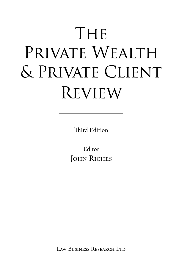# THE PRIVATE WEALTH & Private Client Review

Third Edition

Editor JOHN RICHES

Law Business Research Ltd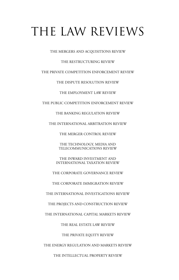## THE LAW REVIEWS

THE MERGERS AND ACQUISITIONS REVIEW

#### THE RESTRUCTURING REVIEW

THE PRIVATE COMPETITION ENFORCEMENT REVIEW

THE DISPUTE RESOLUTION REVIEW

THE EMPLOYMENT LAW REVIEW

THE PUBLIC COMPETITION ENFORCEMENT REVIEW

THE BANKING REGULATION REVIEW

THE INTERNATIONAL ARBITRATION REVIEW

THE MERGER CONTROL REVIEW

THE TECHNOLOGY, MEDIA AND TELECOMMUNICATIONS REVIEW

THE INWARD INVESTMENT AND INTERNATIONAL TAXATION REVIEW

THE CORPORATE GOVERNANCE REVIEW

THE CORPORATE IMMIGRATION REVIEW

THE INTERNATIONAL INVESTIGATIONS REVIEW

THE PROJECTS AND CONSTRUCTION REVIEW

THE INTERNATIONAL CAPITAL MARKETS REVIEW

THE REAL ESTATE LAW REVIEW

THE PRIVATE EQUITY REVIEW

THE ENERGY REGULATION AND MARKETS REVIEW

THE INTELLECTUAL PROPERTY REVIEW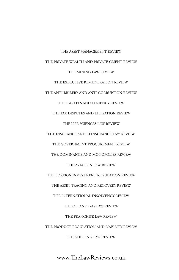THE ASSET MANAGEMENT REVIEW THE PRIVATE WEALTH AND PRIVATE CLIENT REVIEW THE MINING LAW REVIEW THE EXECUTIVE REMUNERATION REVIEW THE ANTI-BRIBERY AND ANTI-CORRUPTION REVIEW THE CARTELS AND LENIENCY REVIEW THE TAX DISPUTES AND LITIGATION REVIEW THE LIFE SCIENCES LAW REVIEW THE INSURANCE AND REINSURANCE LAW REVIEW THE GOVERNMENT PROCUREMENT REVIEW THE DOMINANCE AND MONOPOLIES REVIEW THE AVIATION LAW REVIEW THE FOREIGN INVESTMENT REGULATION REVIEW THE ASSET TRACING AND RECOVERY REVIEW THE INTERNATIONAL INSOLVENCY REVIEW THE OIL AND GAS LAW REVIEW THE FRANCHISE LAW REVIEW THE PRODUCT REGULATION AND LIABILITY REVIEW THE SHIPPING LAW REVIEW

www.TheLawReviews.co.uk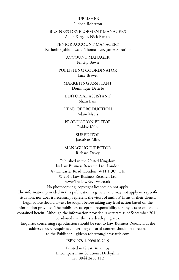#### PUBLISHER Gideon Roberton

BUSINESS DEVELOPMENT MANAGERS Adam Sargent, Nick Barette

SENIOR ACCOUNT MANAGERS Katherine Jablonowska, Thomas Lee, James Spearing

> ACCOUNT MANAGER Felicity Bown

PUBLISHING COORDINATOR Lucy Brewer

MARKETING ASSISTANT Dominique Destrée

EDITORIAL ASSISTANT Shani Bans

HEAD OF PRODUCTION Adam Myers

PRODUCTION EDITOR Robbie Kelly

> SUBEDITOR Jonathan Allen

MANAGING DIRECTOR Richard Davey

Published in the United Kingdom by Law Business Research Ltd, London 87 Lancaster Road, London, W11 1QQ, UK © 2014 Law Business Research Ltd www.TheLawReviews.co.uk No photocopying: copyright licences do not apply. The information provided in this publication is general and may not apply in a specific situation, nor does it necessarily represent the views of authors' firms or their clients. Legal advice should always be sought before taking any legal action based on the information provided. The publishers accept no responsibility for any acts or omissions contained herein. Although the information provided is accurate as of September 2014, be advised that this is a developing area. Enquiries concerning reproduction should be sent to Law Business Research, at the address above. Enquiries concerning editorial content should be directed to the Publisher – gideon.roberton@lbresearch.com

ISBN 978-1-909830-21-9

Printed in Great Britain by Encompass Print Solutions, Derbyshire Tel: 0844 2480 112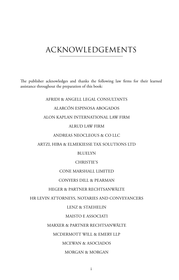## ACKNOWLEDGEMENTS

The publisher acknowledges and thanks the following law firms for their learned assistance throughout the preparation of this book:

#### AFRIDI & ANGELL LEGAL CONSULTANTS

#### ALARCÓN ESPINOSA ABOGADOS

#### ALON KAPLAN INTERNATIONAL LAW FIRM

#### ALRUD LAW FIRM

#### ANDREAS NEOCLEOUS & CO LLC

#### ARTZI, HIBA & ELMEKIESSE TAX SOLUTIONS LTD

#### **BLUELYN**

#### CHRISTIE'S

#### CONE MARSHALL LIMITED

#### CONYERS DILL & PEARMAN

#### HEGER & PARTNER RECHTSANWÄLTE

#### HR LEVIN ATTORNEYS, NOTARIES AND CONVEYANCERS

#### LENZ & STAEHELIN

#### MAISTO E ASSOCIATI

#### MARXER & PARTNER RECHTSANWÄLTE

#### MCDERMOTT WILL & EMERY LLP

#### MCEWAN & ASOCIADOS

#### MORGAN & MORGAN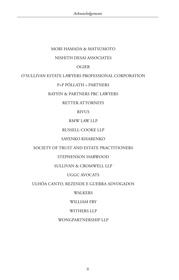#### MORI HAMADA & MATSUMOTO

#### NISHITH DESAI ASSOCIATES

#### OGIER

#### O'SULLIVAN ESTATE LAWYERS PROFESSIONAL CORPORATION

#### P+P PÖLLATH + PARTNERS

#### RAYYIN & PARTNERS PRC LAWYERS

#### RETTER ATTORNEYS

#### RIVUS

#### RMW LAW LLP

#### RUSSELL-COOKE LLP

#### SAYENKO KHARENKO

#### SOCIETY OF TRUST AND ESTATE PRACTITIONERS

#### STEPHENSON HARWOOD

#### SULLIVAN & CROMWELL LLP

#### UGGC AVOCATS

#### ULHÔA CANTO, REZENDE E GUERRA ADVOGADOS

#### WALKERS

#### WILLIAM FRY

#### WITHERS LLP

#### WONGPARTNERSHIP LLP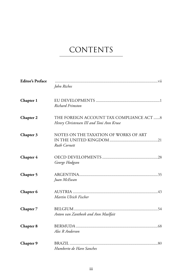## **CONTENTS**

| <b>Editor's Preface</b> | John Riches                                                                          |
|-------------------------|--------------------------------------------------------------------------------------|
| Chapter 1               | Richard Frimston                                                                     |
| Chapter 2               | THE FOREIGN ACCOUNT TAX COMPLIANCE ACT 8<br>Henry Christensen III and Toni Ann Kruse |
| Chapter 3               | NOTES ON THE TAXATION OF WORKS OF ART<br>Ruth Cornett                                |
| Chapter 4               | George Hodgson                                                                       |
| Chapter 5               | Juan McEwan                                                                          |
| Chapter 6               | Martin Ulrich Fischer                                                                |
| Chapter 7               | Anton van Zantbeek and Ann Maelfait                                                  |
| Chapter 8               | Alec R Anderson                                                                      |
| Chapter 9               | Humberto de Haro Sanches                                                             |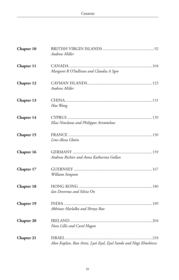| Chapter 10        | Andrew Miller                                                     |  |
|-------------------|-------------------------------------------------------------------|--|
| Chapter 11        | Margaret R O'Sullivan and Claudia A Sgro                          |  |
| Chapter 12        | Andrew Miller                                                     |  |
| Chapter 13        | Hao Wang                                                          |  |
| Chapter 14        | Elias Neocleous and Philippos Aristotelous                        |  |
| Chapter 15        | Line-Alexa Glotin                                                 |  |
| Chapter 16        | Andreas Richter and Anna Katharina Gollan                         |  |
| Chapter 17        | William Simpson                                                   |  |
| Chapter 18        | Ian Devereux and Silvia On                                        |  |
| Chapter 19        | Abhinav Harlalka and Shreya Rao                                   |  |
| <b>Chapter 20</b> | Nora Lillis and Carol Hogan                                       |  |
| Chapter 21        | Alon Kaplan, Ran Artzi, Lyat Eyal, Eyal Sando and Hagi Elmekiesse |  |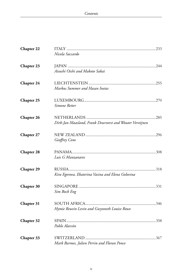| Chapter 22        |                                                          |
|-------------------|----------------------------------------------------------|
|                   | Nicola Saccardo                                          |
| Chapter 23        |                                                          |
|                   | Atsushi Oishi and Makoto Sakai                           |
| Chapter 24        |                                                          |
|                   | Markus Summer and Hasan Inetas                           |
| Chapter 25        |                                                          |
|                   | Simone Retter                                            |
| Chapter 26        |                                                          |
|                   | Dirk-Jan Maasland, Frank Deurvorst and Wouter Verstijnen |
| Chapter 27        |                                                          |
|                   | Geoffrey Cone                                            |
| Chapter 28        |                                                          |
|                   | Luis G Manzanares                                        |
| <b>Chapter 29</b> |                                                          |
|                   | Kira Egorova, Ekaterina Vasina and Elena Golovina        |
| Chapter 30        |                                                          |
|                   | Sim Bock Eng                                             |
| Chapter 31        |                                                          |
|                   | Hymie Reuvin Levin and Gwynneth Louise Rowe              |
| Chapter 32        |                                                          |
|                   | Pablo Alarcón                                            |
| Chapter 33        |                                                          |
|                   | Mark Barmes, Julien Perrin and Floran Ponce              |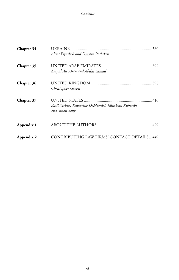| Chapter 34 | Alina Plyushch and Dmytro Riabikin                                     |
|------------|------------------------------------------------------------------------|
| Chapter 35 | Amjad Ali Khan and Abdus Samad                                         |
| Chapter 36 | Christopher Groves                                                     |
| Chapter 37 | Basil Zirinis, Katherine DeMamiel, Elizabeth Kubanik<br>and Susan Song |
| Appendix 1 |                                                                        |
| Appendix 2 | CONTRIBUTING LAW FIRMS' CONTACT DETAILS449                             |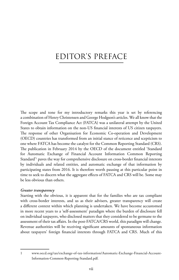## EDITOR'S PREFACE

The scope and tone for my introductory remarks this year is set by referencing a combination of Henry Christensen and George Hodgson's articles. We all know that the Foreign Account Tax Compliance Act (FATCA) was a unilateral attempt by the United States to obtain information on the non‑US financial interests of US citizen taxpayers. The response of other Organisation for Economic Co-operation and Development (OECD) countries has transformed from an initial stance of reticence and scepticism to one where FATCA has become the catalyst for the Common Reporting Standard (CRS). The publication in February 2014 by the OECD of the document entitled 'Standard for Automatic Exchange of Financial Account Information Common Reporting Standard'1 paves the way for comprehensive disclosure on cross-border financial interests by individuals and related entities, and automatic exchange of that information by participating states from 2016. It is therefore worth pausing at this particular point in time to seek to discern what the aggregate effects of FATCA and CRS will be. Some may be less obvious than others.

#### *Greater transparency*

Starting with the obvious, it is apparent that for the families who are tax compliant with cross-border interests, and us as their advisers, greater transparency will create a different context within which planning is undertaken. We have become accustomed in more recent years to a 'self-assessment' paradigm where the burden of disclosure fell on individual taxpayers, who disclosed matters that they considered to be germane to the assessment of their tax affairs. In the post-FATCA/CRS world, this paradigm will change. Revenue authorities will be receiving significant amounts of spontaneous information about taxpayers' foreign financial interests through FATCA and CRS. Much of this

<sup>1</sup> www.oecd.org/tax/exchange-of-tax-information/Automatic-Exchange-Financial-Account-Information-Common-Reporting-Standard.pdf.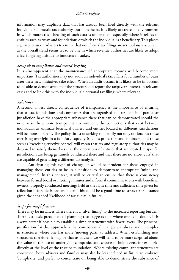information may duplicate data that has already been filed directly with the relevant individual's domestic tax authority, but nonetheless it is likely to create an environment in which more cross-checking of such data is undertaken, especially where it relates to entities such as trusts and foundations of which the individual is a beneficiary. This places a greater onus on advisers to ensure that our clients' tax filings are scrupulously accurate, as the overall trend seems set to be one in which revenue authorities are likely to adopt a less forgiving attitude to innocent mistakes.

#### *Scrupulous compliance and record-keeping*

It is also apparent that the maintenance of appropriate records will become more important. Tax authorities may not audit an individual's tax affairs for a number of years after these new initiatives take effect. When an audit occurs, it is likely to be important to be able to demonstrate that the structure did report the taxpayer's interest in relevant cases and to link this with the individual's personal tax filings where relevant.

#### *Substance*

A second, if less direct, consequence of transparency is the importance of ensuring that trusts, foundations and companies that are organised and resident in a particular jurisdiction have the appropriate substance there that can be demonstrated should the need arise. In a more transparent environment, the connections that exist between individuals as 'ultimate beneficial owners' and entities located in different jurisdictions will be more apparent. The policy thrust of seeking to identify not only settlors but those exercising oversight in a fiduciary capacity (such as protectors and enforcers) and those seen as 'exercising effective control' will mean that tax and regulatory authorities may be disposed to satisfy themselves that the operations of entities that are located in specific jurisdictions are being genuinely conducted there and that there are no 'short cuts' that are capable of generating a different tax analysis.

Anticipating this type of change, it would be prudent for those engaged in managing those entities to be in a position to demonstrate appropriate 'mind and management'. In this context, it will be critical to ensure that there is consistency between formal board or meeting minutes and informal communications with beneficial owners, properly conducted meetings held at the right time and sufficient time given for reflection before decisions are taken. This could be a good time to stress test substance given the enhanced likelihood of tax audits in future.

#### *Scope for simplification*

There may be instances where there is a 'silver lining' to the increased reporting burden. There is a basic precept of all planning that suggests that where one is in doubt, it is always better if possible to establish a simpler structure with fewer layers. The principal justification for this approach is that consequential changes are always more complex in structures where one has more 'moving parts' to address. When establishing new structures therefore, it may be that as advisers we will tend to be more sceptical about the value of the use of underlying companies and choose to hold assets, for example, directly at the level of the trust or foundation. Where existing compliant structures are concerned, both advisers and families may also be less inclined in future to embrace 'complexity' and prefer to concentrate on being able to demonstrate the substance of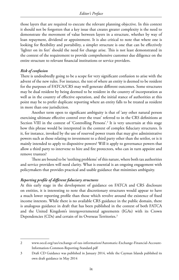those layers that are required to execute the relevant planning objective. In this context it should not be forgotten that a key issue that creates greater complexity is the need to demonstrate the movement of value between layers in a structure, whether by way of loan repayment, dividend or appointment. It is also critical to note that where one is looking for flexibility and portability, a simpler structure is one that can be effectively 'lighter on its feet' should the need for change arise. This is not least demonstrated in the context of the requirement to provide comprehensive customer due diligence on the entire structure to relevant financial institutions or service providers.

#### *Risk of confusion*

There is undoubtedly going to be a scope for very significant confusion to arise with the advent of the new rules. For instance, the test of where an entity is deemed to be resident for the purposes of FATCA/CRS may well generate different outcomes. Some structures may be dual resident by being deemed to be resident in the country of incorporation as well as in the country of effective operation, and the initial stance of authorities at this point may be to prefer duplicate reporting where an entity falls to be treated as resident in more than one jurisdiction.

Another term open to significant ambiguity is that of 'any other natural person exercising ultimate effective control over the trust' referred to in the CRS definitions at Section VIII in the context of 'Controlling Persons'.<sup>2</sup> It is very uncertain at this stage how this phrase would be interpreted in the context of complex fiduciary structures. Is it, for instance, invoked by the use of reserved power trusts that may give administrative powers such as those relating to investment to a third party other than the settlor, or is it mainly intended to apply to dispositive powers? Will it apply to governance powers that allow a third party to intervene to hire and fire protectors, who can in turn appoint and remove trustees?

There are bound to be 'teething problems' of this nature, where both tax authorities and service providers will need clarity. What is essential is an ongoing engagement with policymakers that provides practical and usable guidance that minimises ambiguity.

#### *Reporting profile of different fiduciary structures*

At this early stage in the development of guidance on FATCA and CRS disclosure on entities, it is interesting to note that discretionary structures would appear to have a much lower reporting profile than those which revolve around the existence of fixed income interests. While there is no available CRS guidance in the public domain, there is analogous guidance in draft that has been published in the context of both FATCA and the United Kingdom's intergovernmental agreements (IGAs) with its Crown Dependencies (CDs) and certain of its Overseas Territories.<sup>3</sup>

<sup>2</sup> www.oecd.org/tax/exchange-of-tax-information/Automatic-Exchange-Financial-Account-Information-Common-Reporting-Standard.pdf

<sup>3</sup> Draft CD Guidance was published in January 2014, while the Cayman Islands published its own draft guidance in May 2014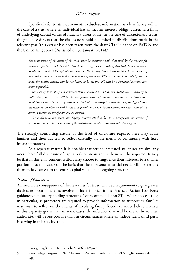Specifically for trusts requirements to disclose information as a beneficiary will, in the case of a trust where an individual has an income interest, oblige, currently, a filing of underlying capital values of fiduciary assets while, in the case of discretionary trusts, the guidance directs that the disclosure should be limited to distributions made in the relevant year (this extract has been taken from the draft CD Guidance on FATCA and the United Kingdom IGAs issued on 31 January 2014):<sup>4</sup>

*The total value of the assets of the trust must be consistent with that used by the trustees for valuation purposes and should be based on a recognised accounting standard. Listed securities should be valued at the appropriate market. The Equity Interest attributable to the settlor of any settlor interested trust is the whole value of the trust. Where a settlor is excluded from the trust, the Equity Interest can be considered to be nil but will still be a Financial Account and hence reportable.*

*The Equity Interest of a beneficiary that is entitled to mandatory distributions (directly or indirectly) from a trust will be the net present value of amounts payable in the future and should be measured on a recognised actuarial basis. It is recognised that this may be difficult and expensive to calculate in which case it is permitted to use the accounting net asset value of the assets in which the beneficiary has an interest.*

*For a discretionary trust, the Equity Interest attributable to a beneficiary in receipt of a distribution will be the amount of the distribution made in the relevant reporting year.*

The strongly contrasting nature of the level of disclosure required here may cause families and their advisers to reflect carefully on the merits of continuing with fixed interest structures.

As a separate matter, it is notable that settlor-interested structures are similarly ones where full disclosure of capital values on an annual basis will be required. It may be that in this environment settlors may choose to ring-fence their interests to a smaller portion of overall value on the basis that their personal financial needs will not require them to have access to the entire capital value of an ongoing structure.

#### *Profile of fiduciaries*

An inevitable consequence of the new rules for trusts will be a requirement to give greater disclosure about fiduciaries involved. This is implicit in the Financial Action Task Force guidance on fiduciary holding structures (see recommendation 25).5 Where those acting, in particular, as protectors are required to provide information to authorities, families may wish to reflect on the merits of involving family friends or indeed close relatives in this capacity given that, in some cases, the inference that will be drawn by revenue authorities will be less positive than in circumstances where an independent third party is serving in this specific role.

<sup>4</sup> www.gov.gg/CHttpHandler.ashx?id=86124&p=0.

<sup>5</sup> www.fatf-gafi.org/media/fatf/documents/recommendations/pdfs/FATF\_Recommendations. pdf.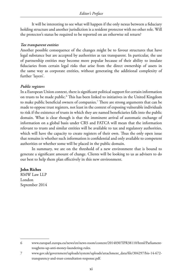It will be interesting to see what will happen if the only nexus between a fiduciary holding structure and another jurisdiction is a resident protector with no other role. Will the protector's status be required to be reported on an otherwise nil return?

#### *Tax transparent entities*

Another possible consequence of the changes might be to favour structures that have legal substance but are accepted by authorities as tax transparent. In particular, the use of partnership entities may become more popular because of their ability to insulate fiduciaries from certain legal risks that arise from the direct ownership of assets in the same way as corporate entities, without generating the additional complexity of further 'layers'.

#### *Public registers*

In a European Union context, there is significant political support for certain information on trusts to be made public.<sup>6</sup> This has been linked to initiatives in the United Kingdom to make public beneficial owners of companies.7 There are strong arguments that can be made to oppose trust registers, not least in the context of exposing vulnerable individuals to risk if the existence of trusts in which they are named beneficiaries falls into the public domain. What is clear though is that the imminent arrival of automatic exchange of information on a global basis under CRS and FATCA will mean that the information relevant to trusts and similar entities will be available to tax and regulatory authorities, which will have the capacity to create registers of their own. Thus the only open issue that remains is whether such information is confidential and only available to competent authorities or whether some will be placed in the public domain.

In summary, we are on the threshold of a new environment that is bound to generate a significant amount of change. Clients will be looking to us as advisers to do our best to help them plan effectively in this new environment.

#### **John Riches**

RMW Law LLP London September 2014

<sup>6</sup> www.europarl.europa.eu/news/en/news-room/content/20140307IPR38110/html/Parliamenttoughens-up-anti-money-laundering-rules.

<sup>7</sup> www.gov.uk/government/uploads/system/uploads/attachment\_data/file/304297/bis-14-672transparency-and-trust-consultation-response.pdf.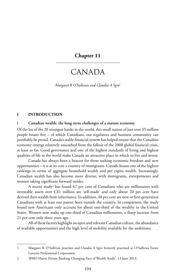#### **Chapter 11**

### CANADA

*Margaret R O'Sullivan and Claudia A Sgro*<sup>1</sup>

#### **I INTRODUCTION**

#### **i Canadian wealth: the long-term challenges of a mature economy**

Of the list of the 20 strongest banks in the world, this small nation of just over 35 million people boasts five – of which Canadians, our regulators and business community can justifiably be proud. Canada's stable financial system has helped ensure that the Canadian economy emerge relatively unscathed from the fallout of the 2008 global financial crisis, at least so far. Good governance and one of the highest standards of living and highest qualities of life in the world make Canada an attractive place in which to live and invest.

Canada has always been a beacon for those seeking economic freedom and new opportunities – it is at its core a country of immigrants. Canada boasts one of the highest rankings in terms of aggregate household wealth and per capita wealth. Increasingly, Canadian wealth has also become more diverse, with immigrants, entrepreneurs and women taking significant forward strides.

A recent study<sup>2</sup> has found 67 per cent of Canadians who are millionaires with investable assets over C\$1 million are 'self-made' and only about 20 per cent have derived their wealth from inheritance. In addition, 48 per cent are new or first-generation Canadians with at least one parent born outside the country. In comparison, the study found new Americans only account for about one-third of the wealthy in the United States. Women now make up one-third of Canadian millionaires, a sharp increase from 21 per cent only three years ago.

All of these factors highlight an open and tolerant Canadian culture, the abundance of available opportunities and the high level of mobility available for the ambitious.

<sup>1</sup> Margaret R O'Sullivan practises and Claudia A Sgro formerly practised at O'Sullivan Estate Lawyers Professional Corporation.

<sup>2</sup> 'BMO Harris Private Banking Changing Face of Wealth Study', 13 June 2013.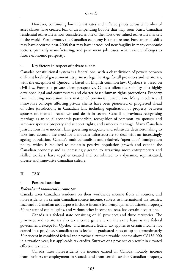However, continuing low interest rates and inflated prices across a number of asset classes have created fear of an impending bubble that may soon burst. Canadian residential real estate is now considered as one of the most over-valued real estate markets in the world. Furthermore, the Canadian economy is a mature one. Fundamental shifts may have occurred post-2008 that may have introduced new fragility in many economic sectors, primarily manufacturing, and permanent job losses, which raise challenges to future economic prosperity.

#### **ii Key factors in respect of private clients**

Canada's constitutional system is a federal one, with a clear division of powers between different levels of government. Its primary legal heritage for all provinces and territories, with the exception of Quebec, is based on English common law; Quebec's is based on civil law. From the private client perspective, Canada offers the stability of a highly developed legal and court system and charter-based human rights protections. Property law, including succession, is a matter of provincial jurisdiction. Many modern and innovative concepts affecting private clients have been pioneered or progressed ahead of other jurisdictions in Canadian law, including equalisation of property between spouses on marital breakdown and death in several Canadian provinces recognising marriage as an equal economic partnership, recognition of common law spouses' and same-sex spouses' property and support rights, and same-sex marriage. Many Canadian jurisdictions have modern laws governing incapacity and substitute decision-making to take into account the need for a modern infrastructure to deal with an increasingly ageing population. Canada's multiculturalism and relatively 'open-door' immigration policy, which is required to maintain positive population growth and expand the Canadian economy and is increasingly geared to attracting more entrepreneurs and skilled workers, have together created and contributed to a dynamic, sophisticated, diverse and innovative Canadian culture.

#### **II TAX**

#### **i Personal taxation**

#### *Federal and provincial income tax*

Canada taxes Canadian residents on their worldwide income from all sources, and non-residents on certain Canadian-source income, subject to international tax treaties. Income for Canadian tax purposes includes income from employment, business, property, 50 per cent of capital gains, and various other income sources, less certain deductions.

Canada is a federal state consisting of 10 provinces and three territories. The provinces and territories also tax income generally on the same basis as the federal government, except for Quebec, and increased federal tax applies to certain income not earned in a province. Canadian tax is levied at graduated rates of up to approximately 50 per cent in combined federal and provincial rates on taxable income above C\$136,000 in a taxation year, less applicable tax credits. Surtaxes of a province can result in elevated effective tax rates.

Canada taxes non-residents on income earned in Canada, notably income from business or employment in Canada and from certain taxable Canadian property,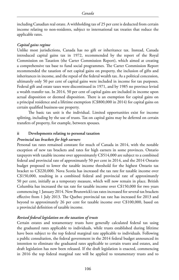including Canadian real estate. A withholding tax of 25 per cent is deducted from certain income relating to non-residents, subject to international tax treaties that reduce the applicable rates.

#### *Capital gains regime*

Unlike most jurisdictions, Canada has no gift or inheritance tax. Instead, Canada introduced capital gains tax in 1972, recommended by the report of the Royal Commission on Taxation (the Carter Commission Report), which aimed at creating a comprehensive tax base to fund social programmes. The Carter Commission Report recommended the taxation of net capital gains on property, the inclusion of gifts and inheritances in income, and the repeal of the federal wealth tax. As a political concession, ultimately only 50 per cent of capital gains were included in income for tax purposes. Federal gift and estate taxes were discontinued in 1971, and by 1985 no province levied a wealth transfer tax. In 2014, 50 per cent of capital gains are included in income upon actual disposition or deemed disposition. There is an exemption for capital gains on a principal residence and a lifetime exemption (C\$800,000 in 2014) for capital gains on certain qualified business-use property.

The basic tax unit is the individual. Limited opportunities exist for income splitting, including by the use of trusts. Tax on capital gains may be deferred on certain transfers of property, for example, between spouses.

#### **ii Developments relating to personal taxation**

#### *Provincial tax brackets for high earners*

Personal tax rates remained constant for much of Canada in 2014, with the notable exception of new tax brackets and rates for high earners in some provinces. Ontario taxpayers with taxable income over approximately C\$514,000 are subject to a combined federal and provincial rate of approximately 50 per cent in 2014, and the 2014 Ontario budget proposed to lower the taxable income threshold for the highest Ontario tax bracket to C\$220,000. Nova Scotia has increased the tax rate for taxable income over C\$150,000, resulting in a combined federal and provincial rate of approximately 50 per cent, initially as a temporary measure, which will now remain in place. British Columbia has increased the tax rate for taxable income over C\$150,000 for two years commencing 1 January 2014. New Brunswick's tax rates increased for several tax brackets effective from 1 July 2013. The Quebec provincial tax rate has increased for 2013 and beyond to approximately 26 per cent for taxable income over C\$100,000, based on a provincial definition of taxable income.

#### *Revised federal legislation on the taxation of trusts*

Certain estates and testamentary trusts have generally calculated federal tax using the graduated rates applicable to individuals, while trusts established during lifetime have been subject to the top federal marginal rate applicable to individuals. Following a public consultation, the federal government in the 2014 federal budget announced its intention to eliminate the graduated rates applicable to certain trusts and estates, and draft legislation has now been released. If the draft legislation is enacted, commencing in 2016 the top federal marginal rate will be applied to testamentary trusts and to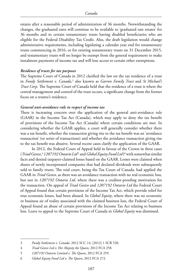estates after a reasonable period of administration of 36 months. Notwithstanding the changes, the graduated rates will continue to be available to 'graduated rate estates' for 36 months and to certain testamentary trusts having disabled beneficiaries who are eligible for the Federal Disability Tax Credit. Also, the draft legislation would change administrative requirements, including legislating a calendar year end for testamentary trusts commencing in 2016, or for existing testamentary trusts on 31 December 2015, and testamentary trusts will no longer be exempt from the general requirement to make instalment payments of income tax and will lose access to certain other exemptions.

#### *Residence of trusts for tax purposes*

The Supreme Court of Canada in 2012 clarified the law on the tax residence of a trust in *Fundy Settlement v. Canada,*3 also known as *Garron Family Trust* and *St Michael's Trust Corp*. The Supreme Court of Canada held that the residence of a trust is where the central management and control of the trust occurs, a significant change from the former focus on a trustee's residence.

#### *General anti-avoidance rule in respect of income tax*

There is increasing concern over the application of the general anti-avoidance rule (GAAR) in the Income Tax Act (Canada), which may apply to deny the tax benefit of provisions of the Income Tax Act (Canada) where certain conditions are met. In considering whether the GAAR applies, a court will generally consider whether there was a tax benefit, whether the transaction giving rise to the tax benefit was an 'avoidance transaction' (or series of transactions) and whether the avoidance transaction giving rise to the tax benefit was abusive. Several recent cases clarify the application of the GAAR.

In 2012, the Federal Court of Appeal held in favour of the Crown in three cases (*Triad Gestco*,<sup>4</sup> *1207192 Ontario Ltd<sup>5</sup> and Global Equity Fund Ltd*)<sup>6</sup> with somewhat similar facts and denied taxpayer-claimed losses based on the GAAR. Losses were claimed when shares of newly incorporated companies that had declared dividends were subsequently sold to family trusts. The trial court, being the Tax Court of Canada, had applied the GAAR in *Triad Gestco*, as there was an avoidance transaction with no real economic loss, but not in *1207192 Ontario Ltd*, where there was a creditor-proofing motivation for the transaction. On appeal of *Triad Gestco* and *1207192 Ontario Ltd* the Federal Court of Appeal found that certain provisions of the Income Tax Act, which provide relief for true economic losses, had been abused. In *Global Equity*, where there was no economic or business air of reality associated with the claimed business loss, the Federal Court of Appeal found an abuse of certain provisions of the Income Tax Act relating to business loss. Leave to appeal to the Supreme Court of Canada in *Global Equity* was dismissed.

<sup>3</sup> *Fundy Settlement v. Canada*, 2012 SCC 14, [2012] 1 SCR 520.

<sup>4</sup> *Triad Gestco Ltd v. Her Majesty the Queen*, 2012 FCA 258.

<sup>5</sup> *1207192 Ontario Limited v. The Queen*, 2012 FCA 259.

<sup>6</sup> *Global Equity Fund Ltd v. The Queen*, 2012 FCA 272.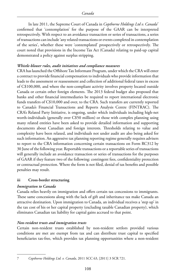In late 2011, the Supreme Court of Canada in *Copthorne Holdings Ltd v. Canada*<sup>7</sup> confirmed that 'contemplation' for the purpose of the GAAR can be interpreted retrospectively. With respect to an avoidance transaction or series of transactions, a series of transactions can include 'any related transactions or events completed in contemplation of the series', whether these were 'contemplated' prospectively or retrospectively. The court noted that provisions in the Income Tax Act (Canada) relating to paid-up capital demonstrated a policy against surplus stripping.

#### *Whistle-blower rules, audit initiatives and compliance measures*

CRA has launched the Offshore Tax Informant Program, under which the CRA will enter a contract to provide financial compensation to individuals who provide information that leads to the assessment or reassessment and collection of additional federal taxes in excess of C\$100,000, and where the non-compliant activity involves property located outside Canada or certain other foreign elements. The 2013 federal budget also proposed that banks and other financial intermediaries be required to report international electronic funds transfers of C\$10,000 and over, to the CRA. Such transfers are currently reported to Canada's Financial Transactions and Reports Analysis Centre (FINTRAC). The CRA's Related Party Initiative, is ongoing, under which individuals including high-net worth-individuals (generally over C\$50 million) or those with complex planning using many related entities have been asked to provide detailed information and supporting documents about Canadian and foreign interests. Thresholds relating to value and complexity have been relaxed, and individuals not under audit are also being asked for such information. An aggressive tax planning reporting regime generally requires advisers to report to the CRA information concerning certain transactions on Form RC312 by 30 June of the following year. Reportable transactions or a reportable series of transactions will generally include an avoidance transaction or series of transactions for the purposes of GAAR if they feature two of the following: contingent fees, confidentiality protection or contractual protection. Where the form is not filed, denial of tax benefits and possible penalties may result.

#### **iii Cross-border structuring**

#### *Immigration to Canada*

Canada relies heavily on immigration and offers certain tax concessions to immigrants. These same concessions along with the lack of gift and inheritance tax make Canada an attractive destination. Upon immigration to Canada, an individual receives a 'step up' in the tax cost of his or her capital property (excluding taxable Canadian property), which eliminates Canadian tax liability for capital gains accrued to that point.

#### *Non-resident trusts and immigration trusts*

Certain non-resident trusts established by non-resident settlors provided various conditions are met are exempt from tax and can distribute trust capital to specified beneficiaries tax-free, which provides tax planning opportunities where a non-resident

<sup>7</sup> *Copthorne Holdings Ltd. v. Canada*, 2011 SCC 63, [2011] 3 SCR 721.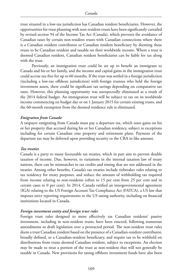trust situated in a low-tax jurisdiction has Canadian resident beneficiaries. However, the opportunities for trust planning with non-resident trusts have been significantly curtailed by revised section 94 of the Income Tax Act (Canada), which prevents the avoidance of Canadian taxes by certain non-resident trusts with Canadian connections where there is a Canadian resident contributor or Canadian resident beneficiary by deeming these trusts to be Canadian resident and taxable on their worldwide income. Where a trust is deemed Canadian resident, Canadian resident beneficiaries can be liable for tax along with the trust.

Previously, an immigration trust could be set up to benefit an immigrant to Canada and his or her family, and the income and capital gains in the immigration trust could accrue tax-free for up to 60 months. If the trust was settled in a foreign jurisdiction (including a low-tax offshore jurisdiction) with foreign trustees who held the foreign investment assets, there could be significant tax savings depending on comparative tax rates. However, this planning opportunity was unexpectedly eliminated as a result of the 2014 federal budget. An immigration trust will be subject to tax on its worldwide income commencing on budget day or on 1 January 2015 for certain existing trusts, and the 60-month exemption from the deemed residence rule is eliminated.

#### *Emigration from Canada*

A taxpayer emigrating from Canada must pay a departure tax, which taxes gains on his or her property that accrued during his or her Canadian residency, subject to exceptions including for certain Canadian *situs* property and retirement plans. Payment of the departure tax may be deferred upon providing security to the CRA in like amount.

#### *Tax treaties*

Canada is a party to many favourable tax treaties, which in part aim to prevent double taxation of income. Due, however, to variations in the internal taxation law of treaty nations, there can be mismatches in tax credits and timing that are not addressed in the treaties. Among other benefits, Canada's tax treaties include tiebreaker rules relating to tax residency for treaty purposes, and reduce the amount of withholding tax required from income relating to non-residents (often to 15 per cent from 25 per cent and in certain cases to 0 per cent). In 2014, Canada ratified an intergovernmental agreement (IGA) relating to the US Foreign Account Tax Compliance Act (FATCA), a US law that imposes strict reporting requirements to the US taxing authority, including on financial institutions located in Canada.

#### *Foreign investment entity and foreign trust rules*

Foreign trust rules designed to more effectively tax Canadian residents' passive investment, including in non-resident trusts, have been enacted, following numerous amendments to draft legislation over a protracted period. The non-resident trust rules deem a trust Canadian resident based on the presence of a Canadian-resident contributor, broadly defined, or a Canadian-resident beneficiary, and require tax to be withheld on distributions from trusts deemed Canadian resident, subject to exceptions. An election may be made to treat a portion of the trust as non-resident that will not generally be taxable in Canada. New provisions for taxing offshore investment funds have also been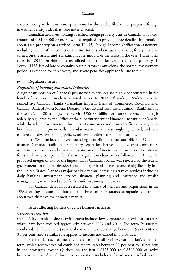enacted, along with transitional provisions for those who filed under proposed foreign investment entity rules that were never enacted.

Canadian taxpayers holding specified foreign property outside Canada with a cost amount of C\$100,000 or more, will be required to provide more detailed information about such property on a revised Form T1135, Foreign Income Verification Statement, including names of the countries and institutions where assets are held, foreign income earned on the assets, and a maximum cost amount of the assets in the year. Transitional rules for 2013 provide for streamlined reporting for certain foreign property. If Form T1135 is filed late or contains certain errors or omissions, the normal reassessment period is extended for three years, and severe penalties apply for failure to file.

#### **iv Regulatory issues**

#### *Regulation of banking and related industries*

A significant portion of Canada's private wealth services are highly concentrated in the hands of six major Canadian national banks. In 2013, *Bloomberg Markets* magazine ranked five Canadian banks (Canadian Imperial Bank of Commerce, Royal Bank of Canada, Bank of Nova Scotia, Desjardins Group and Toronto-Dominion Bank) among the world's top 20 strongest banks with US\$100 billion or more of assets. Banking is federally regulated by the Office of the Superintendent of Financial Institutions Canada, while the related investment industry, trust companies and insurance firms are regulated both federally and provincially. Canada's major banks are strongly capitalised, and tend to have conservative lending policies relative to other banking institutions.

In 1986, the federal government began to eliminate the four pillars of Canadian finance: Canada's traditional regulatory separation between banks, trust companies, insurance companies and investment companies. Numerous acquisitions of investment firms and trust companies by the six largest Canadian banks followed. In 1998, the proposed merger of two of the largest major Canadian banks was rejected by the federal government. In the past decade, Canada's major banks have expanded significantly into the United States. Canada's major banks offer an increasing array of services including daily banking, investment services, financial planning and insurance and wealth management, which tend to be fairly uniform among the banks.

For Canada, deregulation resulted in a flurry of mergers and acquisitions in the 1990s leading to consolidation and the three largest insurance companies controlling about two-thirds of the domestic market.

#### **v Issues affecting holders of active business interests**

#### *Corporate taxation*

Canada's favourable business environment includes low corporate taxes levied at flat rates, which have been reduced aggressively between 2007 and 2012. For active businesses, combined net federal and provincial corporate tax rates range between 25 per cent and 31 per cent, and a similar rate applies to income not earned in a province.

Preferential tax treatment is offered to a 'small business corporation', a defined term, which receives typical combined federal rates between 11 per cent to 16 per cent in the provinces, except Quebec, on the first C\$425,000 to C\$500,000 of active business income. A small business corporation includes a Canadian-controlled private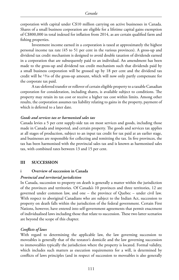corporation with capital under C\$10 million carrying on active businesses in Canada. Shares of a small business corporation are eligible for a lifetime capital gains exemption of C\$800,000 in total indexed for inflation from 2014, as are certain qualified farm and fishing properties.

Investment income earned in a corporation is taxed at approximately the highest personal income tax rate (45 to 51 per cent in the various provinces). A gross-up and dividend tax credit mechanism is designed to avoid double taxation of dividends earned in a corporation that are subsequently paid to an individual. An amendment has been made to the gross-up and dividend tax credit mechanism such that dividends paid by a small business corporation will be grossed up by 18 per cent and the dividend tax credit will be 13/18 of the gross-up amount, which will now only partly compensate for the corporate tax paid.

A tax-deferred transfer or rollover of certain eligible property to a taxable Canadian corporation for consideration, including shares, is available subject to conditions. The property may retain its tax cost or receive a higher tax cost within limits. Among other results, the corporation assumes tax liability relating to gains in the property, payment of which is deferred to a later date.

#### *Goods and services tax or harmonised sales tax*

Canada levies a 5 per cent supply-side tax on most services and goods, including those made in Canada and imported, and certain property. The goods and services tax applies at all stages of production, subject to an input tax credit for tax paid at an earlier stage, and businesses are responsible for collecting and remitting the tax. In five provinces, the tax has been harmonised with the provincial sales tax and is known as harmonised sales tax, with combined rates between 13 and 15 per cent.

#### **III SUCCESSION**

#### **i Overview of succession in Canada**

#### *Provincial and territorial jurisdiction*

In Canada, succession to property on death is generally a matter within the jurisdiction of the provinces and territories. Of Canada's 10 provinces and three territories, 12 are governed under common law, and one – the province of Quebec – under civil law. With respect to aboriginal Canadians who are subject to the Indian Act, succession to property on death falls within the jurisdiction of the federal government. Certain First Nations, however, have entered into self-government agreements that permit enactment of individualised laws including those that relate to succession. These two latter scenarios are beyond the scope of this chapter.

#### *Conflicts of laws*

With regard to determining the applicable law, the law governing succession to moveables is generally that of the testator's domicile and the law governing succession to immoveables typically the jurisdiction where the property is located. Formal validity, which includes such matters as execution requirements for a will, is determined by conflicts of laws principles (and in respect of succession to moveables is also generally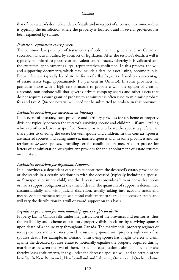that of the testator's domicile at date of death and in respect of succession to immoveables is typically the jurisdiction where the property is located), and in several provinces has been expanded by statute.

#### *Probate or equivalent court process*

The common law principle of testamentary freedom is the general rule in Canadian succession law, as modified by contract or legislation. After the testator's death, a will is typically submitted to probate or equivalent court process, whereby it is validated and the executors' appointment as legal representatives confirmed. In this process, the will and supporting documents, which may include a detailed asset listing, become public. Probate fees are typically levied in the form of a flat fee, or tax based on a percentage of estate assets (e.g., approximately 1.5 per cent in Ontario). In some provinces, in particular those with a high rate structure to probate a will, the option of creating a second, non-probate will that governs private company shares and other assets that do not require a court grant of probate to administer is often used to minimise probate fees and tax. A Quebec notarial will need not be submitted to probate in that province.

#### *Legislative provisions for succession on intestacy*

In an event of intestacy, each province and territory provides for a scheme of property division: typically between the testator's surviving spouse and children – if any – failing which to other relatives as specified. Some provinces allocate the spouse a preferential share prior to dividing the estate between spouse and children. In this context, spouses are married spouses, including same-sex married spouses and, in some provinces and the territories, *de facto* spouses, providing certain conditions are met. A court process for letters of administration or equivalent provides for the appointment of estate trustees on intestacy.

#### *Legislative provisions for dependants' support*

In all provinces, a dependant can claim support from the deceased's estate, provided he or she stands in a certain relationship with the deceased (typically including a spouse, *de facto* spouse or minor child) and the deceased was providing him or her with support or had a support obligation at the time of death. The quantum of support is determined circumstantially and with judicial discretion, usually taking into account needs and means. Some provinces recognise a moral entitlement to share in a deceased's estate and will vary the distribution in a will or award support on this basis.

#### *Legislative provisions for matrimonial property rights on death*

Property law in Canada falls under the jurisdiction of the provinces and territories; thus the availability and scheme of statutory property division claims by surviving spouses upon death of a spouse vary throughout Canada. The matrimonial property regimes of most provinces and territories provide a surviving spouse with property rights on a first spouse's death. For example, in Ontario, a surviving spouse has a right to elect to claim against the deceased spouse's estate to notionally equalise the property acquired during marriage as between the two of them. If such an equalisation claim is made, he or she thereby loses entitlements, if any, under the deceased spouse's will and to certain other benefits. In New Brunswick, Newfoundland and Labrador, Ontario and Quebec, claims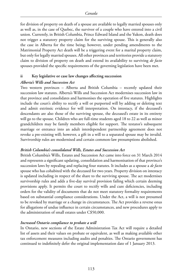for division of property on death of a spouse are available to legally married spouses only as well as, in the case of Quebec, the survivor of a couple who have entered into a civil union. Currently, in British Columbia, Prince Edward Island and the Yukon, death does not trigger a statutory property claim for the surviving spouse. This is generally also the case in Alberta for the time being; however, under pending amendments to the Matrimonial Property Act death will be a triggering event for a marital property claim, but only for legally married spouses. All other provinces and territories provide a statutory claim to division of property on death and extend its availability to surviving *de facto* spouses provided the specific requirements of the governing legislation have been met.

#### **ii Key legislative or case law changes affecting succession**

#### *Alberta's Wills and Succession Act*

Two western provinces – Alberta and British Columbia – recently updated their succession law statutes. Alberta's Wills and Succession Act modernises succession law in that province and consolidates and harmonises the operation of five statutes. Highlights include the court's ability to rectify a will or purported will by adding or deleting text and admit extrinsic evidence for will interpretation. On intestacy, if the deceased's descendants are also those of the surviving spouse, the deceased's estate in its entirety will go to the spouse. Children who are full-time students aged 18 to 22 as well as minor grandchildren may be family members eligible for support. The testator's subsequent marriage or entrance into an adult interdependent partnership agreement does not revoke a pre-existing will; however, a gift in a will to a separated spouse may be invalid. Survivorship rules are modernised and certain common-law presumptions abolished.

#### *British Columbia's consolidated Wills, Estates and Succession Act*

British Columbia's Wills, Estates and Succession Act came into force on 31 March 2014 and represents a significant updating, consolidation and harmonisation of that province's succession laws by repealing and replacing four statutes. It includes as a spouse a *de facto* spouse who has cohabited with the deceased for two years. Property division on intestacy is updated including in respect of the share to the surviving spouse. The act modernises survivorship rules and adds a five-day survival provision failing which certain deeming provisions apply. It permits the court to rectify wills and cure deficiencies, including orders for the validity of documents that do not meet statutory formality requirements based on substantial compliance considerations. Under the Act, a will is not presumed to be revoked by marriage or a change in circumstances. The Act provides a reverse onus for allegations of undue influence in certain circumstances, and new procedures apply to the administration of small estates under C\$50,000.

#### *Increased Ontario compliance to probate a will*

In Ontario, new sections of the Estate Administration Tax Act will require a detailed list of assets and their values on probate or equivalent, as well as making available other tax enforcement measures including audits and penalties. The Ontario government has continued to indefinitely defer the original implementation date of 1 January 2013.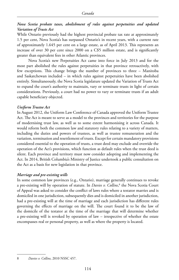#### *Nova Scotia probate taxes, abolishment of rules against perpetuities and updated Variation of Trusts Act*

While Ontario previously had the highest provincial probate tax rate at approximately 1.5 per cent, Nova Scotia's has surpassed Ontario's in recent years, with a current rate of approximately 1.645 per cent on a large estate, as of April 2013. This represents an increase of over 30 per cent since 2000 on a C\$5 million estate, and is significantly greater than equivalent fees in other Atlantic provinces.

Nova Scotia's new Perpetuities Act came into force in July 2013 and for the most part abolished the rules against perpetuities in that province retroactively, with few exceptions. This change brings the number of provinces to three – Manitoba and Saskatchewan included – in which rules against perpetuities have been abolished entirely. Simultaneously, the Nova Scotia legislature updated the Variation of Trusts Act to expand the court's authority to maintain, vary or terminate trusts in light of certain considerations. Previously, a court had no power to vary or terminate trusts if an adult capable beneficiary objected.

#### *Uniform Trustee Act*

In August 2012, the Uniform Law Conference of Canada approved the Uniform Trustee Act. The Act is meant to serve as a model to the provinces and territories for the purpose of modernising trust law, as well as to some extent harmonising it across Canada. It would reform both the common law and statutory rules relating to a variety of matters, including the duties and powers of trustees, as well as trustee remuneration and the variation, termination and resettlement of trusts. Except for certain mandatory provisions considered essential to the operation of trusts, a trust deed may exclude and override the operation of the Act's provisions, which function as default rules when the trust deed is silent. Each province and territory must now consider adopting and implementing the Act. In 2014, British Columbia's Ministry of Justice undertook a public consultation on the Act as a basis for new legislation in that province.

#### *Marriage and pre-existing wills*

In some common law provinces (e.g., Ontario), marriage generally continues to revoke a pre-existing will by operation of statute. In *Davies v. Collins*, 8 the Nova Scotia Court of Appeal was asked to consider the conflict of laws rules where a testator marries and is domiciled in one jurisdiction, subsequently dies and is domiciled in another jurisdiction, had a pre-existing will at the time of marriage and each jurisdiction has different rules governing the effects of marriage on the will. The court found it to be the law of the domicile of the testator at the time of the marriage that will determine whether a pre-existing will is revoked by operation of law – irrespective of whether the estate encompasses real or personal property, as well as where the property is located.

8 *Davies v. Collins*, 2010 NSSC 457.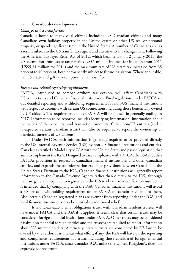#### **iii Cross-border developments**

#### *Changes to US transfer tax*

Canada is home to many dual citizens including US–Canadian citizens and many Canadians own holiday property in the United States or other US real or personal property, or spend significant time in the United States. A number of Canadians are, as a result, subject to the US transfer tax regime and attentive to any changes in it. Following the American Taxpayer Relief Act of 2012, which became law on 2 January 2013, the US exemption from estate tax remains US\$5 million indexed for inflation from 2011 (US\$5.34 million for 2014) and the maximum rate of US estate tax increased from 35 per cent to 40 per cent, both permanently subject to future legislation. Where applicable, the US estate and gift tax exemption remains unified.

#### *Income tax-related reporting requirements*

FATCA, introduced to combat offshore tax evasion, will affect Canadians with US connections and Canadian financial institutions. Final regulations under FATCA set out detailed reporting and withholding requirements for non-US financial institutions with respect to accounts with certain US connections including those beneficially owned by US citizens. The requirements under FATCA will be phased in generally ending in 2017. Information to be reported includes identifying information, information about the values of the accounts, and transaction amounts. Other non-US entities (and it is expected certain Canadian trusts) will also be required to report the ownership or beneficial interests of US citizens.

Under FATCA, such information is generally required to be provided directly to the US Internal Revenue Service (IRS) by non-US financial institutions and entities. Canada has ratified a Model 1 type IGA with the United States and passed legislation that aims to implement the IGA. Designed to ease compliance with FATCA, the IGA modifies FATCA's provisions in respect of Canadian financial institutions and other Canadian entities, and expands the tax information exchange provisions between Canada and the United States. Pursuant to the IGA, Canadian financial institutions will generally report information to the Canada Revenue Agency rather than directly to the IRS, although they are generally required to register with the IRS to obtain an identification number. It is intended that by complying with the IGA, Canadian financial institutions will avoid a 30 per cent withholding requirement under FATCA on certain payments to them. Also, certain Canadian registered plans are exempt from reporting under the IGA, and local financial institutions may be entitled to additional relief.

It is unclear exactly what obligations trusts with Canadian resident trustees will have under FATCA and the IGA if it applies. It seems clear that certain trusts may be considered foreign financial institutions under FATCA. Other trusts may be considered passive non-financial foreign entities and the trustees are required to report information about US interest holders. Alternately, certain trusts are considered by US law to be owned by the settlor. It is unclear what effect, if any, the IGA will have on the reporting and compliance requirements for trusts including those considered foreign financial institutions under FATCA, since Canada's IGA, unlike the United Kingdom's, does not expressly address trusts.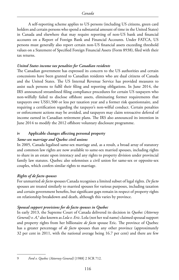A self-reporting scheme applies to US persons (including US citizens, green card holders and certain persons who spend a substantial amount of time in the United States) in Canada and elsewhere that may require reporting of non-US bank and financial accounts on a Report of Foreign Bank and Financial Accounts. Under FATCA, US persons must generally also report certain non-US financial assets exceeding threshold values on a Statement of Specified Foreign Financial Assets (Form 8938), filed with their tax returns.

#### *United States income tax penalties for Canadian residents*

The Canadian government has expressed its concern to the US authorities and certain concessions have been granted to Canadian residents who are dual citizens of Canada and the United States. The US Internal Revenue Service has provided measures to assist such persons to fulfil their filing and reporting obligations. In June 2014, the IRS announced streamlined filing compliance procedures for certain US taxpayers who non-wilfully failed to disclose offshore assets, eliminating former requirements that taxpayers owe US\$1,500 or less per taxation year and a former risk questionnaire, and requiring a certification regarding the taxpayer's non-wilful conduct. Certain penalties or enforcement actions may be avoided, and taxpayers may claim retroactive deferral of income earned in Canadian retirement plans. The IRS also announced its intention in June 2014 to modify the 2012 offshore voluntary disclosure programme.

#### **iv Applicable changes affecting personal property**

#### *Same-sex marriage and Quebec civil unions*

In 2005, Canada legalised same-sex marriage and, as a result, a broad array of statutory and common law rights are now available to same-sex married spouses, including rights to share in an estate upon intestacy and any rights to property division under provincial family law statutes. Quebec also solemnises a civil union for same-sex or opposite-sex couples, which confers similar rights to marriage.

#### *Rights of de facto spouses*

For unmarried *de facto* spouses Canada recognises a limited subset of legal rights. *De facto* spouses are treated similarly to married spouses for various purposes, including taxation and certain government benefits, but significant gaps remain in respect of property rights on relationship breakdown and death, although this varies by province.

#### *Spousal support provisions for de facto spouses in Quebec*

In early 2013, the Supreme Court of Canada delivered its decision in *Quebec (Attorney General) v. A*,<sup>9</sup> also known as *Lola v. Eric*. Lola (not her real name) claimed spousal support and property rights from her billionaire *de facto* spouse Eric. The province of Quebec has a greater percentage of *de facto* spouses than any other province (approximately 32 per cent in 2011, with the national average being 16.7 per cent) and there are few

<sup>9</sup> *Ford v. Quebec (Attorney General)* [1988] 2 SCR 712.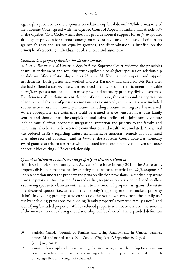legal rights provided to these spouses on relationship breakdown.<sup>10</sup> While a majority of the Supreme Court agreed with the Quebec Court of Appeal in finding that Article 585 of the Quebec Civil Code, which does not provide spousal support for *de facto* spouses although it provides for support among married or civil union spouses, discriminates against *de facto* spouses on equality grounds, the discrimination is justified on the principle of respecting individual couples' choice and autonomy.

#### *Common law property division for de facto spouses*

In *Kerr v. Baranow and Vanasse v. Seguin*, 11 the Supreme Court reviewed the principles of unjust enrichment and resulting trust applicable to *de facto* spouses on relationship breakdown. After a relationship of over 25 years, Ms Kerr claimed property and support entitlements. Both parties had worked and Mr Baranow had cared for Ms Kerr after she had suffered a stroke. The court reviewed the law of unjust enrichment applicable to *de facto* spouses not included in most provincial statutory property division schemes. The elements of the claim are enrichment of one spouse, the corresponding deprivation of another and absence of juristic reason (such as a contract), and remedies have included a constructive trust and monetary amounts, including amounts relating to value received. Where appropriate, the claimant should be treated as a co-venturer in a joint family venture and should share the couple's mutual gains. Indicia of a joint family venture include mutual effort, economic integration, intention and priority to the family, and there must also be a link between the contribution and wealth accumulated. A new trial was ordered in *Kerr* regarding unjust enrichment. A monetary remedy is not limited to a value-received approach, and in *Vanasse*, the Supreme Court upheld a monetary award granted at trial to a partner who had cared for a young family and given up career opportunities during a 12-year relationship.

#### *Spousal entitlement to matrimonial property in British Columbia*

British Columbia's new Family Law Act came into force in early 2013. The Act reforms property division in the province by granting equal status to married and *de facto* spouses<sup>12</sup> upon separation under the property and pension division provisions – a marked departure from the prior statutory regime. As noted earlier, no provision has been included to allow a surviving spouse to claim an entitlement to matrimonial property as against the estate of a deceased spouse (i.e., separation is the only 'triggering event' to make a property claim). In dividing property between spouses, the Act moves away from the 'family use' test by including provisions for dividing 'family property' (formerly 'family assets') and identifying 'excluded property'. While excluded property will not be divided, the amount of the increase in value during the relationship will be divided. The expanded definition

<sup>10</sup> Statistics Canada, 'Portrait of Families and Living Arrangements in Canada: Families, households and marital status, 2011 Census of Population', September 2012, p. 6.

<sup>11</sup> [2011] SCJ No. 10.

<sup>12</sup> Common law couples who have lived together in a marriage-like relationship for at least two years or who have lived together in a marriage-like relationship and have a child with each other, regardless of the length of cohabitation.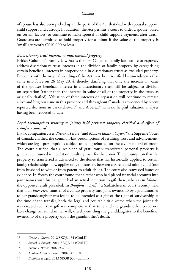of spouse has also been picked up in the parts of the Act that deal with spousal support, child support and custody. In addition, the Act permits a court to order a spouse, based on certain factors, to continue to make spousal or child support payments after death. Guardians are permitted to hold property for a minor if the value of the property is 'small' (currently C\$10,000 or less).

#### *Discretionary trust interests as matrimonial property*

British Columbia's Family Law Act is the first Canadian family law statute to expressly address discretionary trust interests in the division of family property by categorising certain beneficial interests in property held in discretionary trusts as excluded property. Problems with the original wording of the Act have been rectified by amendments that came into force on 26 May 2014, thereby clarifying that only the increase in value of the spouse's beneficial interest in a discretionary trust will be subject to division on separation (rather than the increase in value of all of the property in the trust, as originally drafted). Valuation of these interests on separation will continue to remain a live and litigious issue in this province and throughout Canada, as evidenced by recent reported decisions in Saskatchewan<sup>13</sup> and Alberta,<sup>14</sup> with no helpful valuation analyses having been reported to date.

#### *Legal presumptions relating to jointly held personal property clarified and effect of transfer examined*

In two companion cases, *Pecore v. Pecore*15 and *Madsen Estate v. Saylor*, 16 the Supreme Court of Canada clarified the common-law presumptions of resulting trust and advancement, which are legal presumptions subject to being rebutted on the civil standard of proof. The court clarified that a recipient of gratuitously transferred personal property is generally presumed to hold it on resulting trust for the donor. The presumption that the property so transferred is advanced to the donee that has historically applied to certain family relationships, now applies only to transfers between a parent and minor child (not from husband to wife or from parent to adult child). The court also canvassed issues of evidence. In *Pecore*, the court found that a father who had placed financial accounts into joint names with his daughter had an actual intention to gift these, whereas in *Madsen* the opposite result prevailed. In *Bradford v. Lyell*, 17 a Saskatchewan court recently held that if an *inter vivos* transfer of a condo property into joint ownership by a grandmother to her granddaughter was found to be intended as a gift of the right of survivorship at the time of the transfer, both the legal and equitable title vested when the joint title was created such that gift was complete at that time and the grandmother could not later change her mind in her will, thereby entitling the granddaughter to the beneficial ownership of the property upon the grandmother's death.

<sup>13</sup> *Grosse v. Grosse*, 2012 SKQB 464 (CanLII)

<sup>14</sup> *Shopik v. Shopik*, 2014 ABQB 41 (CanLII)

<sup>15</sup> *Pecore v. Pecore*, 2007 SCC 17.

<sup>16</sup> *Madsen Estate v. Saylor*, 2007 SCC 18.

<sup>17</sup> *Bradford v. Lyell*, 2013 SKQB 330 (CanLII)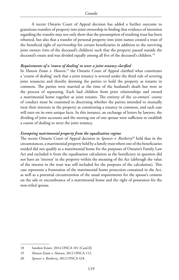A recent Ontario Court of Appeal decision has added a further outcome to gratuitous transfers of property into joint ownership in finding that evidence of intention regarding the transfer may not only show that the presumption of resulting trust has been rebutted, but also that a transfer of personal property into joint names created a trust of the beneficial right of survivorship for certain beneficiaries in addition to the surviving joint owners (two of the deceased's children) such that the property passed outside the deceased's estate and was divided equally among all five of the deceased's children.<sup>18</sup>

#### *Requirements of a 'course of dealing' to sever a joint tenancy clarified*

In *Hansen Estate v. Hansen*, 19 the Ontario Court of Appeal clarified what constitutes a 'course of dealing' such that a joint tenancy is severed under the third rule of severing joint tenancies and thereby deeming the parties to hold the property as tenants in common. The parties were married at the time of the husband's death but were in the process of separating. Each had children from prior relationships and owned a matrimonial home together as joint tenants. The entirety of the co-owners' course of conduct must be examined in discerning whether the parties intended to mutually treat their interests in the property as constituting a tenancy in common, and each case will turn on its own unique facts. In this instance, an exchange of letters by lawyers, the dividing of joint accounts and the moving out of one spouse were sufficient to establish a course of dealing to sever the joint tenancy.

#### *Exempting matrimonial property from the equalisation regime*

The recent Ontario Court of Appeal decision in *Spencer v. Riesberry*20 held that in the circumstances, a matrimonial property held by a family trust where one of the beneficiaries resided did not qualify as a matrimonial home for the purposes of Ontario's Family Law Act and excluded it from the equalisation calculation as the beneficiary in question did not have an 'interest' in the property within the meaning of the Act (although the value of the interest in the trust was still included for the purposes of the calculation). This case represents a frustration of the matrimonial home protection contained in the Act, as well as a potential circumvention of the usual requirements for the spouse's consent on the sale or encumbrance of a matrimonial home and the right of possession for the non-titled spouse.

<sup>18</sup> Sawdon Estate, 2014 ONCA 101 (CanLII)

<sup>19</sup> *Hansen Estate v. Hansen*, 2012 ONCA 112.

<sup>20</sup> *Spencer v. Riesberry*, 2012 ONCA 418.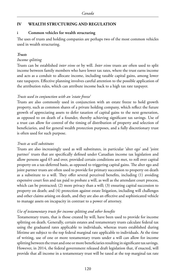#### **IV WEALTH STRUCTURING AND REGULATION**

#### **i Common vehicles for wealth structuring**

The uses of trusts and holding companies are perhaps two of the most common vehicles used in wealth structuring.

#### *Trusts*

#### *Income splitting*

Trusts can be established *inter vivos* or by will. *Inter vivos* trusts are often used to split income between family members who have lower tax rates, where the trust earns income and acts as a conduit to allocate income, including taxable capital gains, among lower rate taxpayers. Effective planning involves careful attention to the possible application of the attribution rules, which can attribute income back to a high tax rate taxpayer.

#### *Trusts used in conjunction with an 'estate freeze'*

Trusts are also commonly used in conjunction with an estate freeze to hold growth property, such as common shares of a private holding company, which reflect the future growth of appreciating assets to defer taxation of capital gains to the next generation, as opposed to on death of a founder, thereby achieving significant tax savings. Use of a trust can allow for control of the timing of distribution of property and selection of beneficiaries, and for general wealth protection purposes, and a fully discretionary trust is often used for such purpose.

#### *Trusts as will substitutes*

Trusts are also increasingly used as will substitutes, in particular 'alter ego' and 'joint partner' trusts that are specifically defined under Canadian income tax legislation and allow persons aged 65 and over, provided certain conditions are met, to roll over capital property on a tax-deferred basis, as opposed to triggering capital gains. The alter ego and joint partner trusts are often used to provide for primary succession to property on death as a substitute to a will. They offer several perceived benefits, including (1) avoiding expensive court fees and tax paid to probate a will, as well as the attendant court process, which can be protracted; (2) more privacy than a will; (3) ensuring capital succession to property on death; and (4) protection against estate litigation, including will challenges and other claims arising on death, and they are also an effective and sophisticated vehicle to manage assets on incapacity in contrast to a power of attorney.

#### *Use of testamentary trusts for income splitting and other benefits*

Testamentary trusts, that is those created by will, have been used to provide for income splitting on death. Generally, certain estates and testamentary trusts calculate federal tax using the graduated rates applicable to individuals, whereas trusts established during lifetime are subject to the top federal marginal rate applicable to individuals. At the time of writing, use of one or more testamentary trusts under a will can allow for income splitting between the trust and one or more beneficiaries resulting in significant tax savings. However, in 2014, the federal government released draft legislation that, if enacted, will provide that all income in a testamentary trust will be taxed at the top marginal tax rate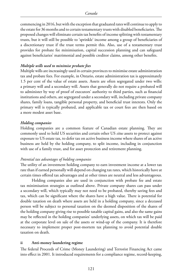commencing in 2016, but with the exception that graduated rates will continue to apply to the estate for 36 months and to certain testamentary trusts with disabled beneficiaries. The proposed changes will eliminate certain tax benefits of income splitting with testamentary trusts, but it will still be possible to 'sprinkle' income among a group of beneficiaries of a discretionary trust if the trust terms permit this. Also, use of a testamentary trust provides for probate fee minimisation, capital succession planning and can safeguard against beneficiaries' matrimonial and possible creditor claims, among other benefits.

#### *Multiple wills used to minimise probate fees*

Multiple wills are increasingly used in certain provinces to minimise estate administration tax and probate fees. For example, in Ontario, estate administration tax is approximately 1.5 per cent of the value of estate assets. Assets are often segregated under two wills: a primary will and a secondary will. Assets that generally do not require a probated will to administer by way of proof of executors' authority to third parties, such as financial institutions and others, are segregated under a secondary will, including private company shares, family loans, tangible personal property, and beneficial trust interests. Only the primary will is typically probated, and applicable tax or court fees are then based on a more modest asset base.

#### *Holding companies*

Holding companies are a common feature of Canadian estate planning. They are commonly used to hold US securities and certain other US *situs* assets to protect against exposure to US estate tax, to defer tax on active business income where shares of an active business are held by the holding company, to split income, including in conjunction with use of a family trust, and for asset protection and retirement planning.

#### *Potential tax advantages of holding companies*

The utility of an investment holding company to earn investment income at a lower tax rate than if earned personally will depend on changing tax rates, which historically have at certain times offered tax advantages and at other times are neutral and less advantageous.

Holding companies also are used in conjunction with probate fee and estate tax minimisation strategies as outlined above. Private company shares can pass under a secondary will, which typically may not need to be probated, thereby saving fees and tax, which can be significant where the shares have a high value. There is potential for double taxation on death where assets are held in a holding company, since a deceased person will be subject to personal taxation on the deemed disposition of the shares of the holding company giving rise to possible taxable capital gains, and also the same gains may be reflected in the holding companies' underlying assets, on which tax will be paid at the corporate level on sale of the assets or wind-up of the company. It is therefore necessary to implement proper post-mortem tax planning to avoid potential double taxation on death.

#### **ii Anti-money laundering regime**

The federal Proceeds of Crime (Money Laundering) and Terrorist Financing Act came into effect in 2001. It introduced requirements for a compliance regime, record-keeping,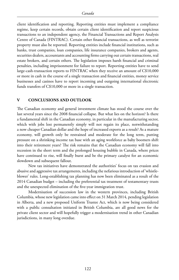client identification and reporting. Reporting entities must implement a compliance regime, keep certain records, obtain certain client identification and report suspicious transactions to an independent agency, the Financial Transactions and Report Analysis Centre of Canada (FINTRAC). Certain other financial transactions, as well as terrorist property must also be reported. Reporting entities include financial institutions, such as banks, trust companies, loan companies, life insurance companies, brokers and agents, securities dealers, accountants and accounting firms carrying out certain transactions, real estate brokers, and certain others. The legislation imposes harsh financial and criminal penalties, including imprisonment for failure to report. Reporting entities have to send large-cash-transaction reports to FINTRAC when they receive an amount of C\$10,000 or more in cash in the course of a single transaction and financial entities, money service businesses and casinos have to report incoming and outgoing international electronic funds transfers of C\$10,000 or more in a single transaction.

#### **V CONCLUSIONS AND OUTLOOK**

The Canadian economy and general investment climate has stood the course over the last several years since the 2008 financial collapse. But what lies on the horizon? Is there a fundamental shift in the Canadian economy, in particular in the manufacturing sector, which with jobs lost permanently simply will not regain its place, notwithstanding a now cheaper Canadian dollar and the hope of increased exports as a result? As a mature economy, will growth only be restrained and moderate for the long term, putting pressure on a shrinking income tax base with an aging workforce as baby boomers shift into their retirement years? The risk remains that the Canadian economy will fall into recession in the short term and the prolonged housing bubble in Canada, where prices have continued to rise, will finally burst and be the primary catalyst for an economic slowdown and subsequent fallout.

New tax initiatives have demonstrated the authorities' focus on tax evasion and abusive and aggressive tax arrangements, including the nefarious introduction of 'whistleblower' rules. Long-establishing tax planning has now been eliminated as a result of the 2014 Canadian budget – including the preferential tax treatment of testamentary trusts and the unexpected elimination of the five-year immigration trust.

Modernisation of succession law in the western provinces, including British Columbia, whose new legislation came into effect on 31 March 2014, pending legislation in Alberta, and a new proposed Uniform Trustee Act, which is now being considered with a public consultation initiated in British Columbia, are all good news for the private client sector and will hopefully trigger a modernisation trend in other Canadian jurisdictions, in many long overdue.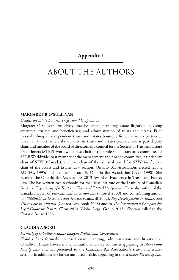#### **Appendix 1**

## ABOUT THE AUTHORS

#### **MARGARET R O'SULLIVAN**

#### *O'Sullivan Estate Lawyers Professional Corporation*

Margaret O'Sullivan exclusively practises estate planning; estate litigation; advising executors, trustees and beneficiaries; and administration of trusts and estates. Prior to establishing an independent trusts and estates boutique firm, she was a partner at Stikeman Elliott, where she directed its trusts and estates practice. She is past deputy chair, and member of the board of directors and council for the Society of Trust and Estate Practitioners (STEP) Worldwide; past chair of the professional standards committee of STEP Worldwide; past member of the management and finance committee; past deputy chair of STEP (Canada); and past chair of the editorial board for *STEP Inside*; past chair of the Trusts and Estates Law section, Ontario Bar Association; elected fellow, ACTEC, 1995; and member of council, Ontario Bar Association (1993–1998). She received the Ontario Bar Association's 2013 Award of Excellence in Trusts and Estates Law. She has written two textbooks for the Trust Institute of the Institute of Canadian Bankers: *Engineering of a Trust* and *Trust and Estate Management*. She is also author of the Canada chapter of *International Succession Laws* (Tottel 2009) and contributing author to *Widdifield on Executors and Trustees* (Carswell 2002), *Key Developments in Estates and Trusts Law in Ontario* (Canada Law Book 2008) and to *The International Comparative Legal Guide to: Private Client 2014* (Global Legal Group 2013). She was called to the Ontario Bar in 1983.

#### **CLAUDIA A SGRO**

#### *Formerly of O'Sullivan Estate Lawyers Professional Corporation*

Claudia Sgro formerly practised estate planning, administration and litigation at O'Sullivan Estate Lawyers. She has authored a case comment appearing in *Money and Family Law* and has presented to the Canadian Bar Association's trusts and estates section. In addition she has co-authored articles appearing in the *Windsor Review of Law*